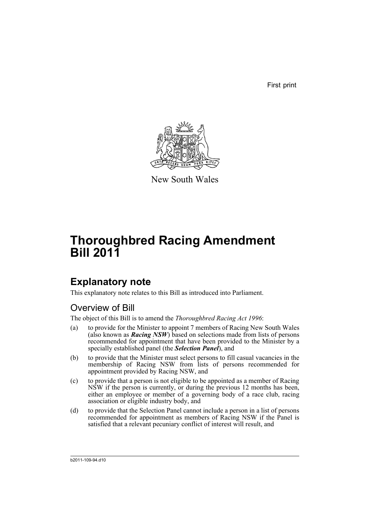First print



New South Wales

# **Thoroughbred Racing Amendment Bill 2011**

## **Explanatory note**

This explanatory note relates to this Bill as introduced into Parliament.

### Overview of Bill

The object of this Bill is to amend the *Thoroughbred Racing Act 1996*:

- (a) to provide for the Minister to appoint 7 members of Racing New South Wales (also known as *Racing NSW*) based on selections made from lists of persons recommended for appointment that have been provided to the Minister by a specially established panel (the *Selection Panel*), and
- (b) to provide that the Minister must select persons to fill casual vacancies in the membership of Racing NSW from lists of persons recommended for appointment provided by Racing NSW, and
- (c) to provide that a person is not eligible to be appointed as a member of Racing NSW if the person is currently, or during the previous 12 months has been, either an employee or member of a governing body of a race club, racing association or eligible industry body, and
- (d) to provide that the Selection Panel cannot include a person in a list of persons recommended for appointment as members of Racing NSW if the Panel is satisfied that a relevant pecuniary conflict of interest will result, and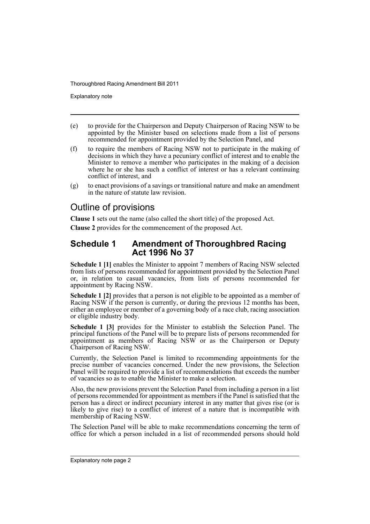Explanatory note

- (e) to provide for the Chairperson and Deputy Chairperson of Racing NSW to be appointed by the Minister based on selections made from a list of persons recommended for appointment provided by the Selection Panel, and
- (f) to require the members of Racing NSW not to participate in the making of decisions in which they have a pecuniary conflict of interest and to enable the Minister to remove a member who participates in the making of a decision where he or she has such a conflict of interest or has a relevant continuing conflict of interest, and
- (g) to enact provisions of a savings or transitional nature and make an amendment in the nature of statute law revision.

### Outline of provisions

**Clause 1** sets out the name (also called the short title) of the proposed Act.

**Clause 2** provides for the commencement of the proposed Act.

### **Schedule 1 Amendment of Thoroughbred Racing Act 1996 No 37**

**Schedule 1 [1]** enables the Minister to appoint 7 members of Racing NSW selected from lists of persons recommended for appointment provided by the Selection Panel or, in relation to casual vacancies, from lists of persons recommended for appointment by Racing NSW.

**Schedule 1 [2]** provides that a person is not eligible to be appointed as a member of Racing NSW if the person is currently, or during the previous 12 months has been, either an employee or member of a governing body of a race club, racing association or eligible industry body.

**Schedule 1 [3]** provides for the Minister to establish the Selection Panel. The principal functions of the Panel will be to prepare lists of persons recommended for appointment as members of Racing NSW or as the Chairperson or Deputy Chairperson of Racing NSW.

Currently, the Selection Panel is limited to recommending appointments for the precise number of vacancies concerned. Under the new provisions, the Selection Panel will be required to provide a list of recommendations that exceeds the number of vacancies so as to enable the Minister to make a selection.

Also, the new provisions prevent the Selection Panel from including a person in a list of persons recommended for appointment as members if the Panel is satisfied that the person has a direct or indirect pecuniary interest in any matter that gives rise (or is likely to give rise) to a conflict of interest of a nature that is incompatible with membership of Racing NSW.

The Selection Panel will be able to make recommendations concerning the term of office for which a person included in a list of recommended persons should hold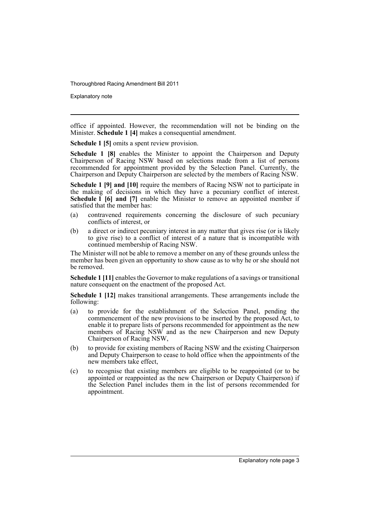Explanatory note

office if appointed. However, the recommendation will not be binding on the Minister. **Schedule 1 [4]** makes a consequential amendment.

**Schedule 1 [5]** omits a spent review provision.

**Schedule 1 [8]** enables the Minister to appoint the Chairperson and Deputy Chairperson of Racing NSW based on selections made from a list of persons recommended for appointment provided by the Selection Panel. Currently, the Chairperson and Deputy Chairperson are selected by the members of Racing NSW.

**Schedule 1 [9] and [10]** require the members of Racing NSW not to participate in the making of decisions in which they have a pecuniary conflict of interest. **Schedule 1 [6] and [7]** enable the Minister to remove an appointed member if satisfied that the member has:

- (a) contravened requirements concerning the disclosure of such pecuniary conflicts of interest, or
- (b) a direct or indirect pecuniary interest in any matter that gives rise (or is likely to give rise) to a conflict of interest of a nature that is incompatible with continued membership of Racing NSW.

The Minister will not be able to remove a member on any of these grounds unless the member has been given an opportunity to show cause as to why he or she should not be removed.

**Schedule 1 [11]** enables the Governor to make regulations of a savings or transitional nature consequent on the enactment of the proposed Act.

**Schedule 1 [12]** makes transitional arrangements. These arrangements include the following:

- (a) to provide for the establishment of the Selection Panel, pending the commencement of the new provisions to be inserted by the proposed Act, to enable it to prepare lists of persons recommended for appointment as the new members of Racing NSW and as the new Chairperson and new Deputy Chairperson of Racing NSW,
- (b) to provide for existing members of Racing NSW and the existing Chairperson and Deputy Chairperson to cease to hold office when the appointments of the new members take effect,
- (c) to recognise that existing members are eligible to be reappointed (or to be appointed or reappointed as the new Chairperson or Deputy Chairperson) if the Selection Panel includes them in the list of persons recommended for appointment.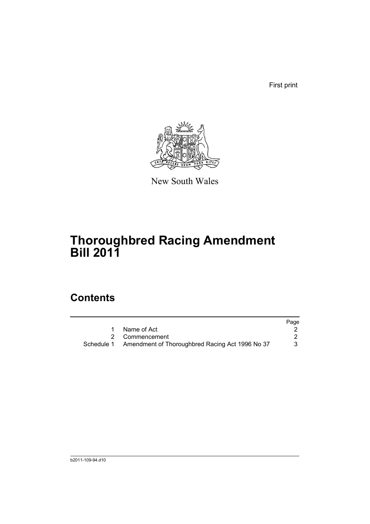First print



New South Wales

## **Thoroughbred Racing Amendment Bill 2011**

## **Contents**

|                                                            | Page |
|------------------------------------------------------------|------|
| Name of Act                                                |      |
| 2 Commencement                                             |      |
| Schedule 1 Amendment of Thoroughbred Racing Act 1996 No 37 |      |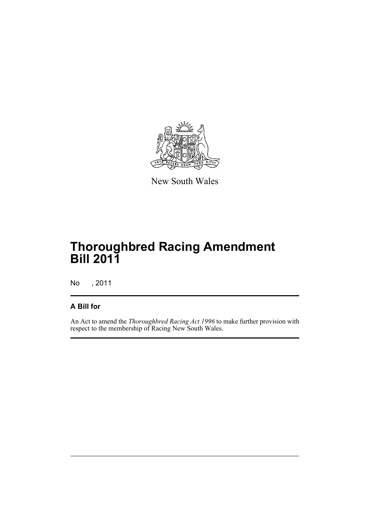

New South Wales

## **Thoroughbred Racing Amendment Bill 2011**

No , 2011

### **A Bill for**

An Act to amend the *Thoroughbred Racing Act 1996* to make further provision with respect to the membership of Racing New South Wales.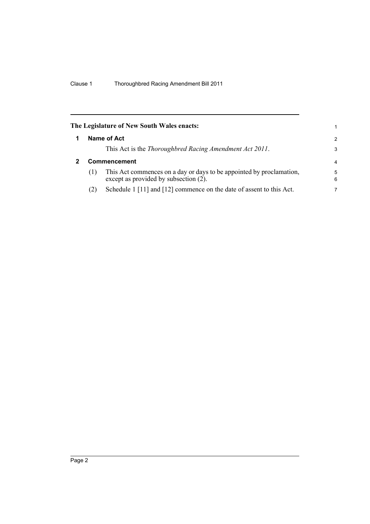<span id="page-7-1"></span><span id="page-7-0"></span>

|              |                                                                                                               | 1                                                         |
|--------------|---------------------------------------------------------------------------------------------------------------|-----------------------------------------------------------|
|              |                                                                                                               | $\mathcal{P}$                                             |
|              | This Act is the Thoroughbred Racing Amendment Act 2011.                                                       | 3                                                         |
| Commencement |                                                                                                               |                                                           |
| (1)          | This Act commences on a day or days to be appointed by proclamation,<br>except as provided by subsection (2). | 5<br>6                                                    |
| (2)          | Schedule 1 [11] and [12] commence on the date of assent to this Act.                                          | 7                                                         |
|              |                                                                                                               | The Legislature of New South Wales enacts:<br>Name of Act |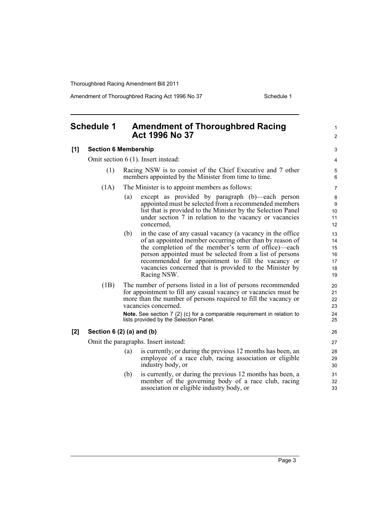Amendment of Thoroughbred Racing Act 1996 No 37 Schedule 1

#### <span id="page-8-0"></span>**Schedule 1 Amendment of Thoroughbred Racing Act 1996 No 37 [1] Section 6 Membership** Omit section 6 (1). Insert instead: (1) Racing NSW is to consist of the Chief Executive and 7 other members appointed by the Minister from time to time. (1A) The Minister is to appoint members as follows: (a) except as provided by paragraph (b)—each person appointed must be selected from a recommended members list that is provided to the Minister by the Selection Panel under section 7 in relation to the vacancy or vacancies concerned, (b) in the case of any casual vacancy (a vacancy in the office of an appointed member occurring other than by reason of the completion of the member's term of office)—each person appointed must be selected from a list of persons recommended for appointment to fill the vacancy or vacancies concerned that is provided to the Minister by Racing NSW. (1B) The number of persons listed in a list of persons recommended for appointment to fill any casual vacancy or vacancies must be more than the number of persons required to fill the vacancy or vacancies concerned. **Note.** See section 7 (2) (c) for a comparable requirement in relation to lists provided by the Selection Panel. **[2] Section 6 (2) (a) and (b)** Omit the paragraphs. Insert instead: (a) is currently, or during the previous 12 months has been, an employee of a race club, racing association or eligible industry body, or (b) is currently, or during the previous 12 months has been, a member of the governing body of a race club, racing association or eligible industry body, or 1  $\mathfrak{p}$ 3 4 5 6 7 8 9 10 11 12 13 14 15 16 17 18 19  $20$ 21 22 23 24 25 26 27 28 29 30 31 32 33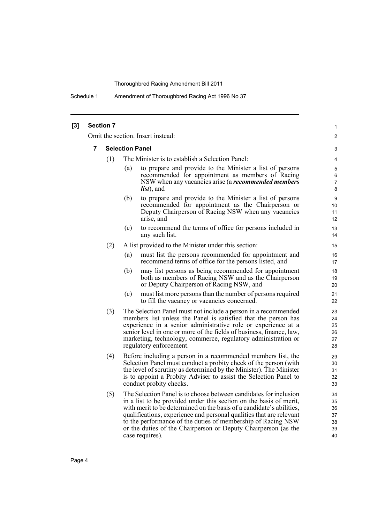Schedule 1 Amendment of Thoroughbred Racing Act 1996 No 37

| [3] | <b>Section 7</b> |                        |     |                                                                                                                                                                                                                                                                                                                                                                                                                                             | 1                                      |
|-----|------------------|------------------------|-----|---------------------------------------------------------------------------------------------------------------------------------------------------------------------------------------------------------------------------------------------------------------------------------------------------------------------------------------------------------------------------------------------------------------------------------------------|----------------------------------------|
|     |                  |                        |     | Omit the section. Insert instead:                                                                                                                                                                                                                                                                                                                                                                                                           | $\overline{2}$                         |
|     | 7                | <b>Selection Panel</b> |     |                                                                                                                                                                                                                                                                                                                                                                                                                                             |                                        |
|     |                  | (1)                    |     | The Minister is to establish a Selection Panel:                                                                                                                                                                                                                                                                                                                                                                                             | 4                                      |
|     |                  |                        | (a) | to prepare and provide to the Minister a list of persons<br>recommended for appointment as members of Racing<br>NSW when any vacancies arise (a <i>recommended members</i><br><i>list</i> ), and                                                                                                                                                                                                                                            | 5<br>6<br>$\overline{7}$<br>8          |
|     |                  |                        | (b) | to prepare and provide to the Minister a list of persons<br>recommended for appointment as the Chairperson or<br>Deputy Chairperson of Racing NSW when any vacancies<br>arise, and                                                                                                                                                                                                                                                          | 9<br>10<br>11<br>12                    |
|     |                  |                        | (c) | to recommend the terms of office for persons included in<br>any such list.                                                                                                                                                                                                                                                                                                                                                                  | 13<br>14                               |
|     |                  | (2)                    |     | A list provided to the Minister under this section:                                                                                                                                                                                                                                                                                                                                                                                         | 15                                     |
|     |                  |                        | (a) | must list the persons recommended for appointment and<br>recommend terms of office for the persons listed, and                                                                                                                                                                                                                                                                                                                              | 16<br>17                               |
|     |                  |                        | (b) | may list persons as being recommended for appointment<br>both as members of Racing NSW and as the Chairperson<br>or Deputy Chairperson of Racing NSW, and                                                                                                                                                                                                                                                                                   | 18<br>19<br>20                         |
|     |                  |                        | (c) | must list more persons than the number of persons required<br>to fill the vacancy or vacancies concerned.                                                                                                                                                                                                                                                                                                                                   | 21<br>22                               |
|     |                  | (3)                    |     | The Selection Panel must not include a person in a recommended<br>members list unless the Panel is satisfied that the person has<br>experience in a senior administrative role or experience at a<br>senior level in one or more of the fields of business, finance, law,<br>marketing, technology, commerce, regulatory administration or<br>regulatory enforcement.                                                                       | 23<br>24<br>25<br>26<br>27<br>28       |
|     |                  | (4)                    |     | Before including a person in a recommended members list, the<br>Selection Panel must conduct a probity check of the person (with<br>the level of scrutiny as determined by the Minister). The Minister<br>is to appoint a Probity Adviser to assist the Selection Panel to<br>conduct probity checks.                                                                                                                                       | 29<br>30<br>31<br>32<br>33             |
|     |                  | (5)                    |     | The Selection Panel is to choose between candidates for inclusion<br>in a list to be provided under this section on the basis of merit,<br>with merit to be determined on the basis of a candidate's abilities,<br>qualifications, experience and personal qualities that are relevant<br>to the performance of the duties of membership of Racing NSW<br>or the duties of the Chairperson or Deputy Chairperson (as the<br>case requires). | 34<br>35<br>36<br>37<br>38<br>39<br>40 |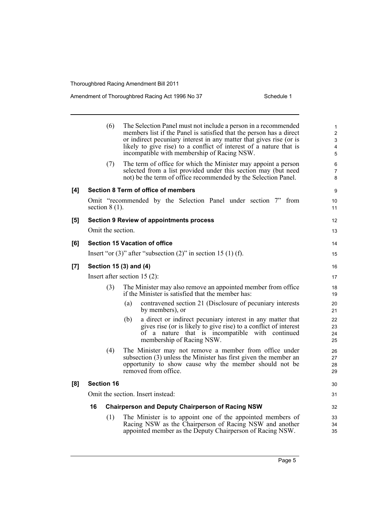### Amendment of Thoroughbred Racing Act 1996 No 37 Schedule 1

|     | (6)                               | The Selection Panel must not include a person in a recommended<br>members list if the Panel is satisfied that the person has a direct<br>or indirect pecuniary interest in any matter that gives rise (or is<br>likely to give rise) to a conflict of interest of a nature that is<br>incompatible with membership of Racing NSW. | 1<br>$\overline{\mathbf{c}}$<br>3<br>4<br>5 |
|-----|-----------------------------------|-----------------------------------------------------------------------------------------------------------------------------------------------------------------------------------------------------------------------------------------------------------------------------------------------------------------------------------|---------------------------------------------|
|     | (7)                               | The term of office for which the Minister may appoint a person<br>selected from a list provided under this section may (but need<br>not) be the term of office recommended by the Selection Panel.                                                                                                                                | 6<br>$\overline{7}$<br>8                    |
| [4] |                                   | Section 8 Term of office of members                                                                                                                                                                                                                                                                                               | 9                                           |
|     | section $8(1)$ .                  | Omit "recommended by the Selection Panel under section 7" from                                                                                                                                                                                                                                                                    | 10 <sup>°</sup><br>11                       |
| [5] |                                   | <b>Section 9 Review of appointments process</b>                                                                                                                                                                                                                                                                                   | 12 <sup>2</sup>                             |
|     | Omit the section.                 |                                                                                                                                                                                                                                                                                                                                   | 13                                          |
| [6] |                                   | <b>Section 15 Vacation of office</b>                                                                                                                                                                                                                                                                                              | 14                                          |
|     |                                   | Insert "or $(3)$ " after "subsection $(2)$ " in section 15 $(1)$ (f).                                                                                                                                                                                                                                                             | 15                                          |
| [7] |                                   | Section 15 (3) and (4)                                                                                                                                                                                                                                                                                                            | 16                                          |
|     |                                   | Insert after section $15(2)$ :                                                                                                                                                                                                                                                                                                    | 17                                          |
|     | (3)                               | The Minister may also remove an appointed member from office.<br>if the Minister is satisfied that the member has:                                                                                                                                                                                                                | 18<br>19                                    |
|     |                                   | contravened section 21 (Disclosure of pecuniary interests)<br>(a)<br>by members), or                                                                                                                                                                                                                                              | 20<br>21                                    |
|     |                                   | a direct or indirect pecuniary interest in any matter that<br>(b)<br>gives rise (or is likely to give rise) to a conflict of interest<br>of a nature that is incompatible with continued<br>membership of Racing NSW.                                                                                                             | 22<br>23<br>24<br>25                        |
|     | (4)                               | The Minister may not remove a member from office under<br>subsection (3) unless the Minister has first given the member an<br>opportunity to show cause why the member should not be<br>removed from office.                                                                                                                      | 26<br>27<br>28<br>29                        |
| [8] | <b>Section 16</b>                 |                                                                                                                                                                                                                                                                                                                                   | 30                                          |
|     | Omit the section. Insert instead: |                                                                                                                                                                                                                                                                                                                                   |                                             |
|     | 16                                | <b>Chairperson and Deputy Chairperson of Racing NSW</b>                                                                                                                                                                                                                                                                           | 32                                          |
|     | (1)                               | The Minister is to appoint one of the appointed members of<br>Racing NSW as the Chairperson of Racing NSW and another<br>appointed member as the Deputy Chairperson of Racing NSW.                                                                                                                                                | 33<br>34<br>35                              |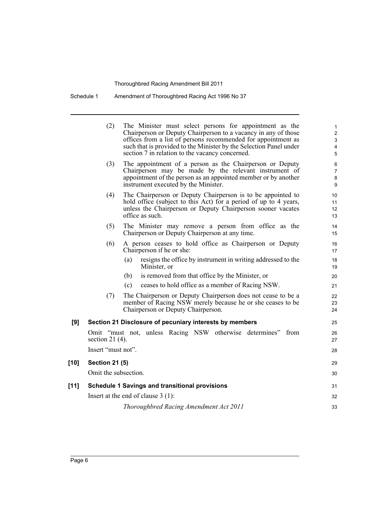| Schedule 1 | Amendment of Thoroughbred Racing Act 1996 No 37 |  |  |
|------------|-------------------------------------------------|--|--|
|            |                                                 |  |  |

|        | (2)                   | The Minister must select persons for appointment as the<br>Chairperson or Deputy Chairperson to a vacancy in any of those<br>offices from a list of persons recommended for appointment as<br>such that is provided to the Minister by the Selection Panel under<br>section 7 in relation to the vacancy concerned. | 1<br>$\overline{c}$<br>$\mathbf{3}$<br>4<br>5 |
|--------|-----------------------|---------------------------------------------------------------------------------------------------------------------------------------------------------------------------------------------------------------------------------------------------------------------------------------------------------------------|-----------------------------------------------|
|        | (3)                   | The appointment of a person as the Chairperson or Deputy<br>Chairperson may be made by the relevant instrument of<br>appointment of the person as an appointed member or by another<br>instrument executed by the Minister.                                                                                         | 6<br>$\overline{7}$<br>8<br>9                 |
|        | (4)                   | The Chairperson or Deputy Chairperson is to be appointed to<br>hold office (subject to this Act) for a period of up to 4 years,<br>unless the Chairperson or Deputy Chairperson sooner vacates<br>office as such.                                                                                                   | 10<br>11<br>12<br>13                          |
|        | (5)                   | The Minister may remove a person from office as the<br>Chairperson or Deputy Chairperson at any time.                                                                                                                                                                                                               | 14<br>15                                      |
|        | (6)                   | A person ceases to hold office as Chairperson or Deputy<br>Chairperson if he or she:                                                                                                                                                                                                                                | 16<br>17                                      |
|        |                       | (a)<br>resigns the office by instrument in writing addressed to the<br>Minister, or                                                                                                                                                                                                                                 | 18<br>19                                      |
|        |                       | is removed from that office by the Minister, or<br>(b)                                                                                                                                                                                                                                                              | 20                                            |
|        |                       | (c)<br>ceases to hold office as a member of Racing NSW.                                                                                                                                                                                                                                                             | 21                                            |
|        | (7)                   | The Chairperson or Deputy Chairperson does not cease to be a<br>member of Racing NSW merely because he or she ceases to be<br>Chairperson or Deputy Chairperson.                                                                                                                                                    | 22<br>23<br>24                                |
| [9]    |                       | Section 21 Disclosure of pecuniary interests by members                                                                                                                                                                                                                                                             | 25                                            |
|        | section 21 $(4)$ .    | Omit "must not, unless Racing NSW otherwise determines" from                                                                                                                                                                                                                                                        | 26<br>27                                      |
|        | Insert "must not".    |                                                                                                                                                                                                                                                                                                                     | 28                                            |
| $[10]$ | <b>Section 21 (5)</b> |                                                                                                                                                                                                                                                                                                                     | 29                                            |
|        | Omit the subsection.  |                                                                                                                                                                                                                                                                                                                     | 30                                            |
| [11]   |                       | <b>Schedule 1 Savings and transitional provisions</b>                                                                                                                                                                                                                                                               | 31                                            |
|        |                       |                                                                                                                                                                                                                                                                                                                     |                                               |
|        |                       | Insert at the end of clause $3(1)$ :                                                                                                                                                                                                                                                                                | 32                                            |
|        |                       | Thoroughbred Racing Amendment Act 2011                                                                                                                                                                                                                                                                              | 33                                            |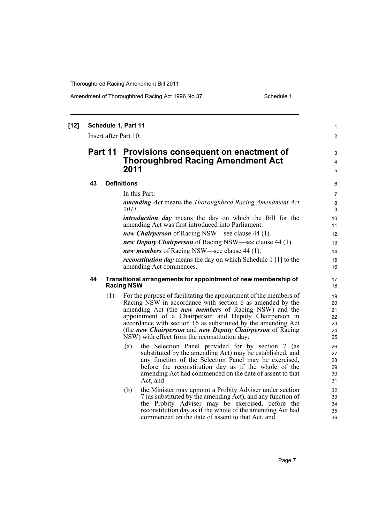Amendment of Thoroughbred Racing Act 1996 No 37 Schedule 1

| $[12]$ | Schedule 1, Part 11<br>Insert after Part 10: |     |                                                                                                                                                                                                                                                                                                                                                                                                                                        |                                        |
|--------|----------------------------------------------|-----|----------------------------------------------------------------------------------------------------------------------------------------------------------------------------------------------------------------------------------------------------------------------------------------------------------------------------------------------------------------------------------------------------------------------------------------|----------------------------------------|
|        |                                              |     |                                                                                                                                                                                                                                                                                                                                                                                                                                        |                                        |
|        | Part 11                                      |     | Provisions consequent on enactment of<br><b>Thoroughbred Racing Amendment Act</b><br>2011                                                                                                                                                                                                                                                                                                                                              | 3<br>4<br>5                            |
|        | 43                                           |     | <b>Definitions</b>                                                                                                                                                                                                                                                                                                                                                                                                                     | 6                                      |
|        |                                              |     | In this Part:                                                                                                                                                                                                                                                                                                                                                                                                                          | 7                                      |
|        |                                              |     | <b>amending Act</b> means the Thoroughbred Racing Amendment Act<br>2011.                                                                                                                                                                                                                                                                                                                                                               | 8<br>9                                 |
|        |                                              |     | <i>introduction day</i> means the day on which the Bill for the<br>amending Act was first introduced into Parliament.                                                                                                                                                                                                                                                                                                                  | 10<br>11                               |
|        |                                              |     | new Chairperson of Racing NSW—see clause 44 (1).                                                                                                                                                                                                                                                                                                                                                                                       | 12                                     |
|        |                                              |     | new Deputy Chairperson of Racing NSW—see clause 44 (1).                                                                                                                                                                                                                                                                                                                                                                                | 13                                     |
|        |                                              |     | new members of Racing NSW—see clause 44 (1).                                                                                                                                                                                                                                                                                                                                                                                           | 14                                     |
|        |                                              |     | <i>reconstitution day</i> means the day on which Schedule 1 [1] to the<br>amending Act commences.                                                                                                                                                                                                                                                                                                                                      | 15<br>16                               |
|        | 44                                           |     | Transitional arrangements for appointment of new membership of<br><b>Racing NSW</b>                                                                                                                                                                                                                                                                                                                                                    | 17<br>18                               |
|        |                                              | (1) | For the purpose of facilitating the appointment of the members of<br>Racing NSW in accordance with section 6 as amended by the<br>amending Act (the <i>new members</i> of Racing NSW) and the<br>appointment of a Chairperson and Deputy Chairperson in<br>accordance with section 16 as substituted by the amending Act<br>(the new Chairperson and new Deputy Chairperson of Racing<br>NSW) with effect from the reconstitution day: | 19<br>20<br>21<br>22<br>23<br>24<br>25 |
|        |                                              |     | the Selection Panel provided for by section 7 (as<br>(a)<br>substituted by the amending Act) may be established, and<br>any function of the Selection Panel may be exercised,<br>before the reconstitution day as if the whole of the<br>amending Act had commenced on the date of assent to that<br>Act, and                                                                                                                          | 26<br>27<br>28<br>29<br>30<br>31       |
|        |                                              |     | the Minister may appoint a Probity Adviser under section<br>(b)<br>7 (as substituted by the amending Act), and any function of<br>the Probity Adviser may be exercised, before the<br>reconstitution day as if the whole of the amending Act had<br>commenced on the date of assent to that Act, and                                                                                                                                   | 32<br>33<br>34<br>35<br>36             |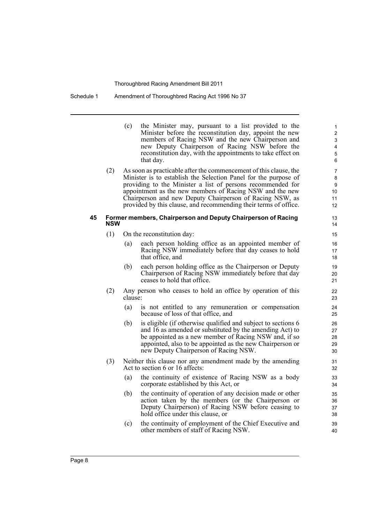#### Schedule 1 Amendment of Thoroughbred Racing Act 1996 No 37

(c) the Minister may, pursuant to a list provided to the Minister before the reconstitution day, appoint the new members of Racing NSW and the new Chairperson and new Deputy Chairperson of Racing NSW before the reconstitution day, with the appointments to take effect on that day.

(2) As soon as practicable after the commencement of this clause, the Minister is to establish the Selection Panel for the purpose of providing to the Minister a list of persons recommended for appointment as the new members of Racing NSW and the new Chairperson and new Deputy Chairperson of Racing NSW, as provided by this clause, and recommending their terms of office.

#### **45 Former members, Chairperson and Deputy Chairperson of Racing NSW**

- (1) On the reconstitution day:
	- (a) each person holding office as an appointed member of Racing NSW immediately before that day ceases to hold that office, and
	- (b) each person holding office as the Chairperson or Deputy Chairperson of Racing NSW immediately before that day ceases to hold that office.
- (2) Any person who ceases to hold an office by operation of this clause:
	- (a) is not entitled to any remuneration or compensation because of loss of that office, and
	- (b) is eligible (if otherwise qualified and subject to sections 6 and 16 as amended or substituted by the amending Act) to be appointed as a new member of Racing NSW and, if so appointed, also to be appointed as the new Chairperson or new Deputy Chairperson of Racing NSW.
- (3) Neither this clause nor any amendment made by the amending Act to section 6 or 16 affects:
	- (a) the continuity of existence of Racing NSW as a body corporate established by this Act, or
	- (b) the continuity of operation of any decision made or other action taken by the members (or the Chairperson or Deputy Chairperson) of Racing NSW before ceasing to hold office under this clause, or
	- (c) the continuity of employment of the Chief Executive and other members of staff of Racing NSW.